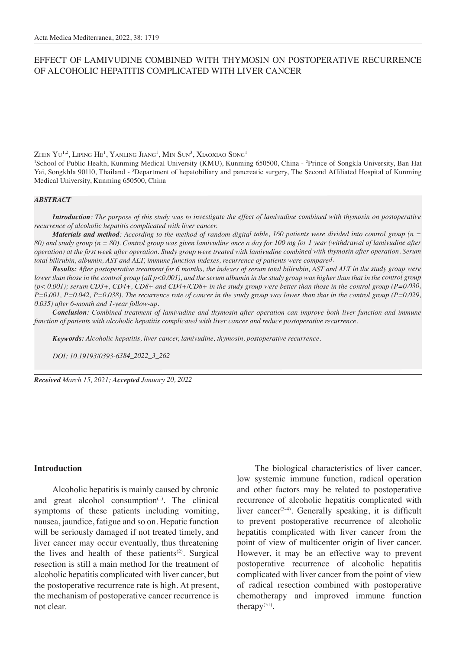# EFFECT OF LAMIVUDINE COMBINED WITH THYMOSIN ON POSTOPERATIVE RECURRENCE OF ALCOHOLIC HEPATITIS COMPLICATED WITH LIVER CANCER

Zhen  $\rm Yu^{1,2},$  Liping He $^1$ , Yanling Jiang $^1$ , Min Sun $^3$ , Xiaoxiao Song $^1$ 

<sup>1</sup>School of Public Health, Kunming Medical University (KMU), Kunming 650500, China - <sup>2</sup>Prince of Songkla University, Ban Hat Yai, Songkhla 90110, Thailand - <sup>3</sup>Department of hepatobiliary and pancreatic surgery, The Second Affiliated Hospital of Kunming Medical University, Kunming 650500, China

#### *ABSTRACT*

*Introduction: The purpose of this study was to investigate the effect of lamivudine combined with thymosin on postoperative recurrence of alcoholic hepatitis complicated with liver cancer.*

*Materials and method: According to the method of random digital table, 160 patients were divided into control group (n = 80) and study group (n = 80). Control group was given lamivudine once a day for 100 mg for 1 year (withdrawal of lamivudine after operation) at the first week after operation. Study group were treated with lamivudine combined with thymosin after operation. Serum total bilirubin, albumin, AST and ALT, immune function indexes, recurrence of patients were compared.* 

*Results: After postoperative treatment for 6 months, the indexes of serum total bilirubin, AST and ALT in the study group were lower than those in the control group (all p<0.001), and the serum albumin in the study group was higher than that in the control group (p< 0.001); serum CD3+, CD4+, CD8+ and CD4+/CD8+ in the study group were better than those in the control group (P=0.030, P=0.001, P=0.042, P=0.038). The recurrence rate of cancer in the study group was lower than that in the control group (P=0.029, 0.035) after 6-month and 1-year follow-up.* 

*Conclusion: Combined treatment of lamivudine and thymosin after operation can improve both liver function and immune function of patients with alcoholic hepatitis complicated with liver cancer and reduce postoperative recurrence.*

*Keywords: Alcoholic hepatitis, liver cancer, lamivudine, thymosin, postoperative recurrence.*

*DOI: 10.19193/0393-6384\_2022\_3\_262*

*Received March 15, 2021; Accepted January 20, 2022*

## **Introduction**

Alcoholic hepatitis is mainly caused by chronic and great alcohol consumption<sup>(1)</sup>. The clinical symptoms of these patients including vomiting, nausea, jaundice, fatigue and so on. Hepatic function will be seriously damaged if not treated timely, and liver cancer may occur eventually, thus threatening the lives and health of these patients<sup>(2)</sup>. Surgical resection is still a main method for the treatment of alcoholic hepatitis complicated with liver cancer, but the postoperative recurrence rate is high. At present, the mechanism of postoperative cancer recurrence is not clear.

The biological characteristics of liver cancer, low systemic immune function, radical operation and other factors may be related to postoperative recurrence of alcoholic hepatitis complicated with liver cancer<sup>(3-4)</sup>. Generally speaking, it is difficult to prevent postoperative recurrence of alcoholic hepatitis complicated with liver cancer from the point of view of multicenter origin of liver cancer. However, it may be an effective way to prevent postoperative recurrence of alcoholic hepatitis complicated with liver cancer from the point of view of radical resection combined with postoperative chemotherapy and improved immune function therapy $(51)$ .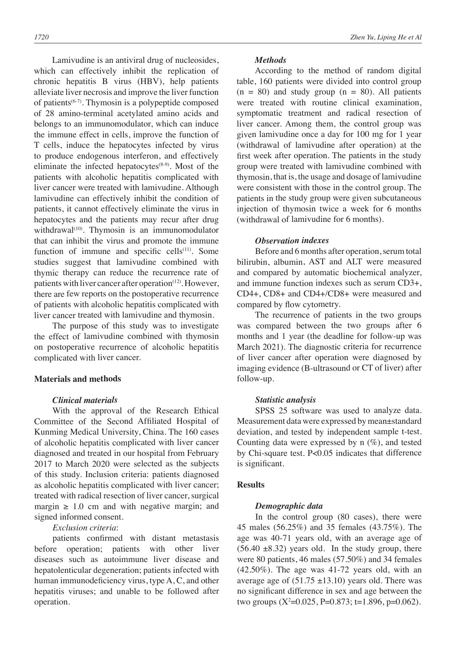Lamivudine is an antiviral drug of nucleosides, which can effectively inhibit the replication of chronic hepatitis B virus (HBV), help patients alleviate liver necrosis and improve the liver function of patients(6-7). Thymosin is a polypeptide composed of 28 amino-terminal acetylated amino acids and belongs to an immunomodulator, which can induce the immune effect in cells, improve the function of T cells, induce the hepatocytes infected by virus to produce endogenous interferon, and effectively eliminate the infected hepatocytes $(8-9)$ . Most of the patients with alcoholic hepatitis complicated with liver cancer were treated with lamivudine. Although lamivudine can effectively inhibit the condition of patients, it cannot effectively eliminate the virus in hepatocytes and the patients may recur after drug withdrawal<sup>(10)</sup>. Thymosin is an immunomodulator that can inhibit the virus and promote the immune function of immune and specific cells<sup>(11)</sup>. Some studies suggest that lamivudine combined with thymic therapy can reduce the recurrence rate of patients with liver cancer after operation<sup>(12)</sup>. However, there are few reports on the postoperative recurrence of patients with alcoholic hepatitis complicated with liver cancer treated with lamivudine and thymosin.

The purpose of this study was to investigate the effect of lamivudine combined with thymosin on postoperative recurrence of alcoholic hepatitis complicated with liver cancer.

## **Materials and methods**

### *Clinical materials*

With the approval of the Research Ethical Committee of the Second Affiliated Hospital of Kunming Medical University, China. The 160 cases of alcoholic hepatitis complicated with liver cancer diagnosed and treated in our hospital from February 2017 to March 2020 were selected as the subjects of this study. Inclusion criteria: patients diagnosed as alcoholic hepatitis complicated with liver cancer; treated with radical resection of liver cancer, surgical margin  $\geq 1.0$  cm and with negative margin; and signed informed consent.

## *Exclusion criteria*:

patients confirmed with distant metastasis before operation; patients with other liver diseases such as autoimmune liver disease and hepatolenticular degeneration; patients infected with human immunodeficiency virus, type A, C, and other hepatitis viruses; and unable to be followed after operation.

### *Methods*

According to the method of random digital table, 160 patients were divided into control group  $(n = 80)$  and study group  $(n = 80)$ . All patients were treated with routine clinical examination, symptomatic treatment and radical resection of liver cancer. Among them, the control group was given lamivudine once a day for 100 mg for 1 year (withdrawal of lamivudine after operation) at the first week after operation. The patients in the study group were treated with lamivudine combined with thymosin, that is, the usage and dosage of lamivudine were consistent with those in the control group. The patients in the study group were given subcutaneous injection of thymosin twice a week for 6 months (withdrawal of lamivudine for 6 months).

## *Observation indexes*

Before and 6 months after operation, serum total bilirubin, albumin, AST and ALT were measured and compared by automatic biochemical analyzer, and immune function indexes such as serum CD3+, CD4+, CD8+ and CD4+/CD8+ were measured and compared by flow cytometry.

The recurrence of patients in the two groups was compared between the two groups after 6 months and 1 year (the deadline for follow-up was March 2021). The diagnostic criteria for recurrence of liver cancer after operation were diagnosed by imaging evidence (B-ultrasound or CT of liver) after follow-up.

#### *Statistic analysis*

SPSS 25 software was used to analyze data. Measurement data were expressed by mean±standard deviation, and tested by independent sample t-test. Counting data were expressed by  $n$  (%), and tested by Chi-square test. P<0.05 indicates that difference is significant.

#### **Results**

#### *Demographic data*

In the control group (80 cases), there were 45 males (56.25%) and 35 females (43.75%). The age was 40-71 years old, with an average age of  $(56.40 \pm 8.32)$  years old. In the study group, there were 80 patients, 46 males (57.50%) and 34 females (42.50%). The age was 41-72 years old, with an average age of  $(51.75 \pm 13.10)$  years old. There was no significant difference in sex and age between the two groups (X<sup>2</sup> =0.025, P=0.873; t=1.896, p=0.062).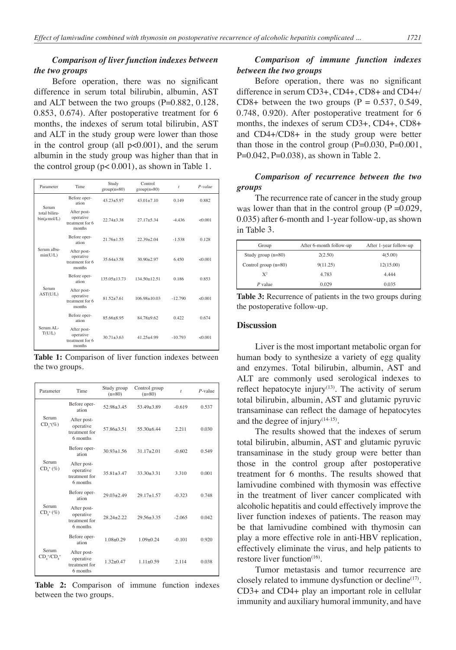## *Comparison of liver function indexes between the two groups*

Before operation, there was no significant difference in serum total bilirubin, albumin, AST and ALT between the two groups (P=0.882, 0.128, 0.853, 0.674). After postoperative treatment for 6 months, the indexes of serum total bilirubin, AST and ALT in the study group were lower than those in the control group (all p<0.001), and the serum albumin in the study group was higher than that in the control group  $(p< 0.001)$ , as shown in Table 1.

| Parameter                                  | Time                                                  | Study<br>$group(n=80)$ | Control<br>$group(n=80)$ | $\dot{t}$ | $P-value$ |
|--------------------------------------------|-------------------------------------------------------|------------------------|--------------------------|-----------|-----------|
| Serum<br>total biliru-<br>$bin(\mu mol/L)$ | Before oper-<br>ation                                 | $43.23 + 5.97$         | $43.01 + 7.10$           | 0.149     | 0.882     |
|                                            | After post-<br>operative<br>treatment for 6<br>months | $22.74 + 3.38$         | $27.17 + 5.34$           | $-4436$   | &0.001    |
| Serum albu-<br>min(U/L)                    | Before oper-<br>ation                                 | $21.76 + 1.55$         | $22.39 + 2.04$           | $-1.538$  | 0.128     |
|                                            | After post-<br>operative<br>treatment for 6<br>months | $35.64 + 3.58$         | $30.90 + 2.97$           | 6.450     | &0.001    |
| Serum<br>AST(U/L)                          | Before oper-<br>ation                                 | $135.05 + 13.73$       | $134.50 + 12.51$         | 0.186     | 0.853     |
|                                            | After post-<br>operative<br>treatment for 6<br>months | $81.52 + 7.61$         | $106.98 + 10.03$         | $-12.790$ | &0.001    |
| Serum AL $<$<br>T(U/L)                     | Before oper-<br>ation                                 | 85.66+8.95             | $84.78 + 9.62$           | 0.422     | 0.674     |
|                                            | After post-<br>operative<br>treatment for 6<br>months | $30.71 + 3.63$         | $41.25 + 4.99$           | $-10.793$ | < 0.001   |

**Table 1:** Comparison of liver function indexes between the two groups.

| Parameter                          | Time                                                  | Study group<br>$(n=80)$ | Control group<br>$(n=80)$ | $\dot{t}$ | $P$ -value |
|------------------------------------|-------------------------------------------------------|-------------------------|---------------------------|-----------|------------|
| Serum<br>$CD_{3}^{+}(\%)$          | Before oper-<br>ation                                 | $52.98 + 3.45$          | $53.49 + 3.89$            | $-0.619$  | 0.537      |
|                                    | After post-<br>operative<br>treatment for<br>6 months | 57.86+3.51              | $55.30 + 6.44$            | 2.211     | 0.030      |
| Serum<br>$CD_{4}^{+}$ (%)          | Before oper-<br>ation                                 | $30.93 + 1.56$          | $31.17 + 2.01$            | $-0.602$  | 0.549      |
|                                    | After post-<br>operative<br>treatment for<br>6 months | $35.81 + 3.47$          | $33.30 + 3.31$            | 3.310     | 0.001      |
| Serum<br>$CD_{\circ}^{+}(\%)$      | Before oper-<br>ation                                 | $29.03 + 2.49$          | $29.17 + 1.57$            | $-0.323$  | 0.748      |
|                                    | After post-<br>operative<br>treatment for<br>6 months | $2824 + 222$            | $29.56 + 3.35$            | $-2.065$  | 0.042      |
| Serum<br>$CD, ^{\ast}/CD, ^{\ast}$ | Before oper-<br>ation                                 | $1.08 + 0.29$           | $1.09 + 0.24$             | $-0.101$  | 0.920      |
|                                    | After post-<br>operative<br>treatment for<br>6 months | $1.32 + 0.47$           | $1.11 + 0.59$             | 2.114     | 0.038      |

**Table 2:** Comparison of immune function indexes between the two groups.

## *Comparison of immune function indexes between the two groups*

Before operation, there was no significant difference in serum CD3+, CD4+, CD8+ and CD4+/ CD8+ between the two groups  $(P = 0.537, 0.549,$ 0.748, 0.920). After postoperative treatment for 6 months, the indexes of serum CD3+, CD4+, CD8+ and CD4+/CD8+ in the study group were better than those in the control group  $(P=0.030, P=0.001,$ P=0.042, P=0.038), as shown in Table 2.

# *Comparison of recurrence between the two groups*

The recurrence rate of cancer in the study group was lower than that in the control group  $(P = 0.029)$ , 0.035) after 6-month and 1-year follow-up, as shown in Table 3.

| Group                  | After 6-month follow-up | After 1-year follow-up |  |
|------------------------|-------------------------|------------------------|--|
| Study group $(n=80)$   | 2(2.50)                 | 4(5.00)                |  |
| Control group $(n=80)$ | 9(11.25)                | 12(15.00)              |  |
| $X^2$                  | 4.783                   | 4.444                  |  |
| $P$ value              | 0.029                   | 0.035                  |  |

**Table 3:** Recurrence of patients in the two groups during the postoperative follow-up.

### **Discussion**

Liver is the most important metabolic organ for human body to synthesize a variety of egg quality and enzymes. Total bilirubin, albumin, AST and ALT are commonly used serological indexes to reflect hepatocyte injury $(13)$ . The activity of serum total bilirubin, albumin, AST and glutamic pyruvic transaminase can reflect the damage of hepatocytes and the degree of injury $(14-15)$ .

The results showed that the indexes of serum total bilirubin, albumin, AST and glutamic pyruvic transaminase in the study group were better than those in the control group after postoperative treatment for 6 months. The results showed that lamivudine combined with thymosin was effective in the treatment of liver cancer complicated with alcoholic hepatitis and could effectively improve the liver function indexes of patients. The reason may be that lamivudine combined with thymosin can play a more effective role in anti-HBV replication, effectively eliminate the virus, and help patients to restore liver function $(16)$ .

Tumor metastasis and tumor recurrence are closely related to immune dysfunction or decline<sup>(17)</sup>. CD3+ and CD4+ play an important role in cellular immunity and auxiliary humoral immunity, and have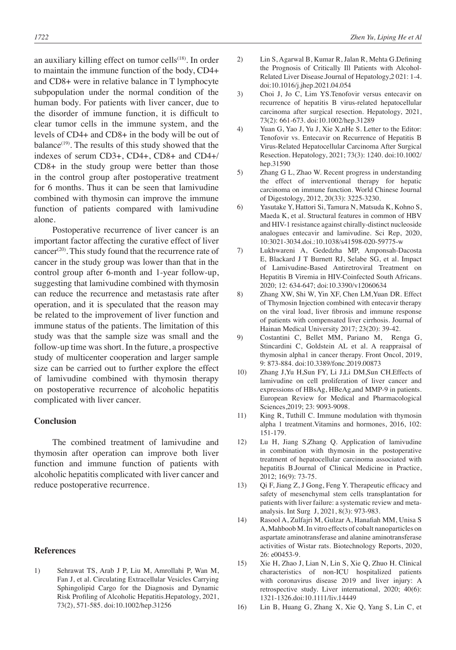an auxiliary killing effect on tumor cells $(18)$ . In order to maintain the immune function of the body, CD4+ and CD8+ were in relative balance in T lymphocyte subpopulation under the normal condition of the human body. For patients with liver cancer, due to the disorder of immune function, it is difficult to clear tumor cells in the immune system, and the levels of CD4+ and CD8+ in the body will be out of balance $(19)$ . The results of this study showed that the indexes of serum CD3+, CD4+, CD8+ and CD4+/ CD8+ in the study group were better than those in the control group after postoperative treatment for 6 months. Thus it can be seen that lamivudine combined with thymosin can improve the immune function of patients compared with lamivudine alone.

Postoperative recurrence of liver cancer is an important factor affecting the curative effect of liver cancer<sup>(20)</sup>. This study found that the recurrence rate of cancer in the study group was lower than that in the control group after 6-month and 1-year follow-up, suggesting that lamivudine combined with thymosin can reduce the recurrence and metastasis rate after operation, and it is speculated that the reason may be related to the improvement of liver function and immune status of the patients. The limitation of this study was that the sample size was small and the follow-up time was short. In the future, a prospective study of multicenter cooperation and larger sample size can be carried out to further explore the effect of lamivudine combined with thymosin therapy on postoperative recurrence of alcoholic hepatitis complicated with liver cancer.

## **Conclusion**

The combined treatment of lamivudine and thymosin after operation can improve both liver function and immune function of patients with alcoholic hepatitis complicated with liver cancer and reduce postoperative recurrence.

#### **References**

1) Sehrawat TS, Arab J P, Liu M, Amrollahi P, Wan M, Fan J, et al. Circulating Extracellular Vesicles Carrying Sphingolipid Cargo for the Diagnosis and Dynamic Risk Profiling of Alcoholic Hepatitis.Hepatology, 2021, 73(2), 571-585. doi:10.1002/hep.31256

- 2) Lin S, Agarwal B, Kumar R, Jalan R, Mehta G.Defining the Prognosis of Critically Ill Patients with Alcohol-Related Liver Disease.Journal of Hepatology,2 021: 1-4. doi:10.1016/j.jhep.2021.04.054
- 3) Choi J, Jo C, Lim YS.Tenofovir versus entecavir on recurrence of hepatitis B virus-related hepatocellular carcinoma after surgical resection. Hepatology, 2021, 73(2): 661-673. doi:10.1002/hep.31289
- 4) Yuan G, Yao J, Yu J, Xie X,nHe S. Letter to the Editor: Tenofovir vs. Entecavir on Recurrence of Hepatitis B Virus-Related Hepatocellular Carcinoma After Surgical Resection. Hepatology, 2021; 73(3): 1240. doi:10.1002/ hep.31590
- 5) Zhang G L, Zhao W. Recent progress in understanding the effect of interventional therapy for hepatic carcinoma on immune function. World Chinese Journal of Digestology, 2012, 20(33): 3225-3230.
- 6) Yasutake Y, Hattori Si, Tamura N, Matsuda K, Kohno S, Maeda K, et al. Structural features in common of HBV and HIV-1 resistance against chirally-distinct nucleoside analogues entecavir and lamivudine. Sci Rep, 2020, 10:3021-3034.doi.:10.1038/s41598-020-59775-w
- 7) Lukhwareni A, Gededzha MP, Amponsah-Dacosta E, Blackard J T Burnett RJ, Selabe SG, et al. Impact of Lamivudine-Based Antiretroviral Treatment on Hepatitis B Viremia in HIV-Coinfected South Africans. 2020; 12: 634-647; doi:10.3390/v12060634
- 8) Zhang XW, Shi W, Yin XF, Chen LM,Yuan DR. Effect of Thymosin Injection combined with entecavir therapy on the viral load, liver fibrosis and immune response of patients with compensated liver cirrhosis. Journal of Hainan Medical University 2017; 23(20): 39-42.
- 9) Costantini C, Bellet MM, Pariano M, Renga G, Stincardini C, Goldstein AL et al. A reappraisal of thymosin alpha1 in cancer therapy. Front Oncol, 2019, 9: 873-884. doi:10.3389/fonc.2019.00873
- 10) Zhang J,Yu H,Sun FY, Li J,Li DM,Sun CH.Effects of lamivudine on cell proliferation of liver cancer and expressions of HBsAg, HBeAg,and MMP-9 in patients. European Review for Medical and Pharmacological Sciences,2019; 23: 9093-9098.
- 11) King R, Tuthill C. Immune modulation with thymosin alpha 1 treatment.Vitamins and hormones, 2016, 102: 151-179.
- 12) Lu H, Jiang S,Zhang Q. Application of lamivudine in combination with thymosin in the postoperative treatment of hepatocellular carcinoma associated with hepatitis B.Journal of Clinical Medicine in Practice, 2012; 16(9): 73-75.
- 13) Qi F, Jiang Z, J Gong, Feng Y. Therapeutic efficacy and safety of mesenchymal stem cells transplantation for patients with liver failure: a systematic review and metaanalysis. Int Surg J, 2021, 8(3): 973-983.
- 14) Rasool A, Zulfajri M, Gulzar A, Hanafiah MM, Unisa S A, Mahboob M. In vitro effects of cobalt nanoparticles on aspartate aminotransferase and alanine aminotransferase activities of Wistar rats. Biotechnology Reports, 2020, 26: e00453-9.
- 15) Xie H, Zhao J, Lian N, Lin S, Xie Q, Zhuo H. Clinical characteristics of non-ICU hospitalized patients with coronavirus disease 2019 and liver injury: A retrospective study. Liver international, 2020; 40(6): 1321-1326.doi:10.1111/liv.14449
- 16) Lin B, Huang G, Zhang X, Xie Q, Yang S, Lin C, et